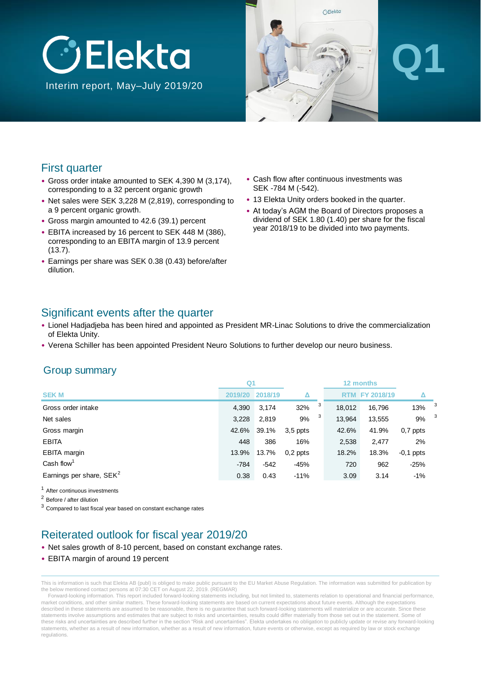



# **Q1**

#### First quarter

- Gross order intake amounted to SEK 4,390 M (3,174), corresponding to a 32 percent organic growth
- Net sales were SEK 3,228 M (2,819), corresponding to a 9 percent organic growth.
- Gross margin amounted to 42.6 (39.1) percent
- EBITA increased by 16 percent to SEK 448 M (386), corresponding to an EBITA margin of 13.9 percent (13.7).
- Earnings per share was SEK 0.38 (0.43) before/after dilution.
- Cash flow after continuous investments was SEK -784 M (-542).
- 13 Elekta Unity orders booked in the quarter.
- At today's AGM the Board of Directors proposes a dividend of SEK 1.80 (1.40) per share for the fiscal year 2018/19 to be divided into two payments.

#### Significant events after the quarter

- Lionel Hadjadjeba has been hired and appointed as President MR-Linac Solutions to drive the commercialization of Elekta Unity.
- Verena Schiller has been appointed President Neuro Solutions to further develop our neuro business.

#### Group summary

|                            | Q <sub>1</sub> |         |            |   |            | 12 months         |             |                         |
|----------------------------|----------------|---------|------------|---|------------|-------------------|-------------|-------------------------|
| <b>SEKM</b>                | 2019/20        | 2018/19 |            |   | <b>RTM</b> | <b>FY 2018/19</b> |             |                         |
| Gross order intake         | 4,390          | 3,174   | 32%        | 3 | 18,012     | 16,796            | 13%         | 3                       |
| Net sales                  | 3.228          | 2,819   | 9%         | 3 | 13,964     | 13,555            | 9%          | $\overline{\mathbf{3}}$ |
| Gross margin               | 42.6%          | 39.1%   | $3,5$ ppts |   | 42.6%      | 41.9%             | $0,7$ ppts  |                         |
| <b>EBITA</b>               | 448            | 386     | 16%        |   | 2,538      | 2,477             | 2%          |                         |
| EBITA margin               | 13.9%          | 13.7%   | $0,2$ ppts |   | 18.2%      | 18.3%             | $-0,1$ ppts |                         |
| Cash flow <sup>1</sup>     | -784           | $-542$  | $-45%$     |   | 720        | 962               | $-25%$      |                         |
| Earnings per share, $SEK2$ | 0.38           | 0.43    | $-11%$     |   | 3.09       | 3.14              | $-1%$       |                         |

<sup>1</sup> After continuous investments

<sup>2</sup> Before / after dilution

<sup>3</sup> Compared to last fiscal year based on constant exchange rates

#### Reiterated outlook for fiscal year 2019/20

- Net sales growth of 8-10 percent, based on constant exchange rates.
- EBITA margin of around 19 percent

This is information is such that Elekta AB (publ) is obliged to make public pursuant to the EU Market Abuse Regulation. The information was submitted for publication by the below mentioned contact persons at 07:30 CET on August 22, 2019. (REGMAR)

Forward-looking information. This report included forward-looking statements including, but not limited to, statements relation to operational and financial performance, market conditions, and other similar matters. These forward-looking statements are based on current expectations about future events. Although the expectations described in these statements are assumed to be reasonable, there is no quarantee that such forward-looking statements will materialize or are accurate. Since these statements involve assumptions and estimates that are subject to risks and uncertainties, results could differ materially from those set out in the statement. Some of these risks and uncertainties are described further in the section "Risk and uncertainties". Elekta undertakes no obligation to publicly update or revise any forward-looking statements, whether as a result of new information, whether as a result of new information, future events or otherwise, except as required by law or stock exchange regulations.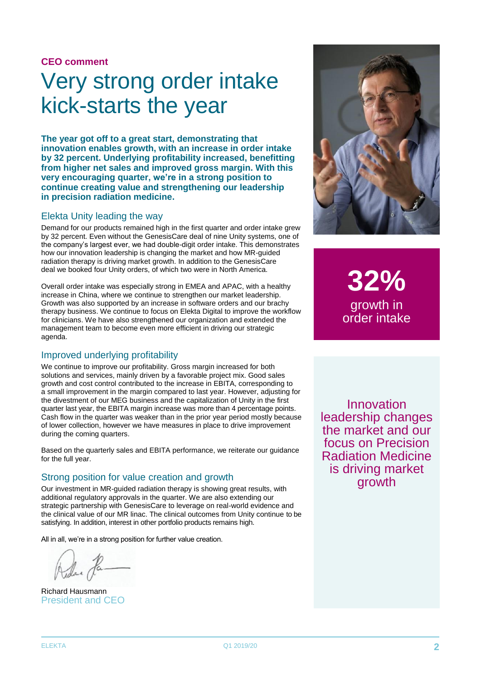#### **CEO comment**

# Very strong order intake kick-starts the year

**The year got off to a great start, demonstrating that innovation enables growth, with an increase in order intake by 32 percent. Underlying profitability increased, benefitting from higher net sales and improved gross margin. With this very encouraging quarter, we're in a strong position to continue creating value and strengthening our leadership in precision radiation medicine.**

#### Elekta Unity leading the way

Demand for our products remained high in the first quarter and order intake grew by 32 percent. Even without the GenesisCare deal of nine Unity systems, one of the company's largest ever, we had double-digit order intake. This demonstrates how our innovation leadership is changing the market and how MR-guided radiation therapy is driving market growth. In addition to the GenesisCare deal we booked four Unity orders, of which two were in North America.

Overall order intake was especially strong in EMEA and APAC, with a healthy increase in China, where we continue to strengthen our market leadership. Growth was also supported by an increase in software orders and our brachy therapy business. We continue to focus on Elekta Digital to improve the workflow for clinicians. We have also strengthened our organization and extended the management team to become even more efficient in driving our strategic agenda.

#### Improved underlying profitability

We continue to improve our profitability. Gross margin increased for both solutions and services, mainly driven by a favorable project mix. Good sales growth and cost control contributed to the increase in EBITA, corresponding to a small improvement in the margin compared to last year. However, adjusting for the divestment of our MEG business and the capitalization of Unity in the first quarter last year, the EBITA margin increase was more than 4 percentage points. Cash flow in the quarter was weaker than in the prior year period mostly because of lower collection, however we have measures in place to drive improvement during the coming quarters.

Based on the quarterly sales and EBITA performance, we reiterate our guidance for the full year.

#### Strong position for value creation and growth

Our investment in MR-guided radiation therapy is showing great results, with additional regulatory approvals in the quarter. We are also extending our strategic partnership with GenesisCare to leverage on real-world evidence and the clinical value of our MR linac. The clinical outcomes from Unity continue to be satisfying. In addition, interest in other portfolio products remains high.

All in all, we're in a strong position for further value creation.

Richard Hausmann President and CEO



**32%** growth in order intake

Innovation leadership changes the market and our focus on Precision Radiation Medicine is driving market growth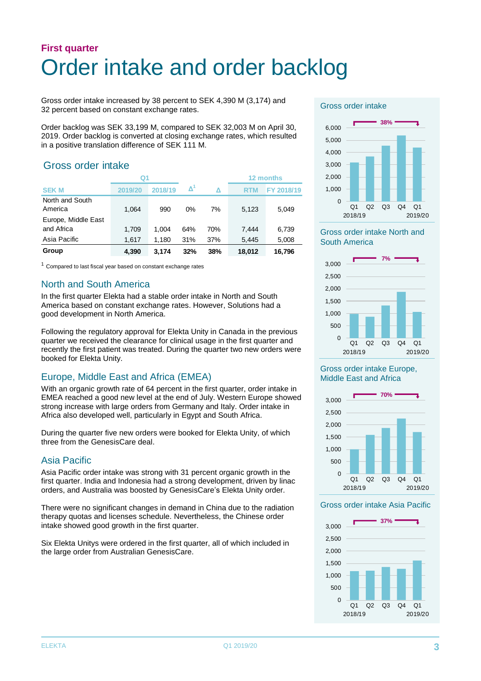### **First quarter** Order intake and order backlog

Gross order intake increased by 38 percent to SEK 4,390 M (3,174) and 32 percent based on constant exchange rates.

Order backlog was SEK 33,199 M, compared to SEK 32,003 M on April 30, 2019. Order backlog is converted at closing exchange rates, which resulted in a positive translation difference of SEK 111 M.

#### Gross order intake

|                                   | Q1      |         |     |     |            | 12 months  |
|-----------------------------------|---------|---------|-----|-----|------------|------------|
| <b>SEK M</b>                      | 2019/20 | 2018/19 | Δ   | Δ   | <b>RTM</b> | FY 2018/19 |
| North and South<br>America        | 1,064   | 990     | 0%  | 7%  | 5,123      | 5,049      |
| Europe, Middle East<br>and Africa | 1,709   | 1.004   | 64% | 70% | 7.444      | 6,739      |
| Asia Pacific                      | 1.617   | 1.180   | 31% | 37% | 5.445      | 5,008      |
| Group                             | 4.390   | 3.174   | 32% | 38% | 18,012     | 16,796     |

 $1$  Compared to last fiscal year based on constant exchange rates

#### North and South America

In the first quarter Elekta had a stable order intake in North and South America based on constant exchange rates. However, Solutions had a good development in North America.

Following the regulatory approval for Elekta Unity in Canada in the previous quarter we received the clearance for clinical usage in the first quarter and recently the first patient was treated. During the quarter two new orders were booked for Elekta Unity.

#### Europe, Middle East and Africa (EMEA)

With an organic growth rate of 64 percent in the first quarter, order intake in EMEA reached a good new level at the end of July. Western Europe showed strong increase with large orders from Germany and Italy. Order intake in Africa also developed well, particularly in Egypt and South Africa.

During the quarter five new orders were booked for Elekta Unity, of which three from the GenesisCare deal.

#### Asia Pacific

Asia Pacific order intake was strong with 31 percent organic growth in the first quarter. India and Indonesia had a strong development, driven by linac orders, and Australia was boosted by GenesisCare's Elekta Unity order.

There were no significant changes in demand in China due to the radiation therapy quotas and licenses schedule. Nevertheless, the Chinese order intake showed good growth in the first quarter.

Six Elekta Unitys were ordered in the first quarter, all of which included in the large order from Australian GenesisCare.

#### Gross order intake



#### Gross order intake North and South America



#### Gross order intake Europe, Middle East and Africa



#### Gross order intake Asia Pacific

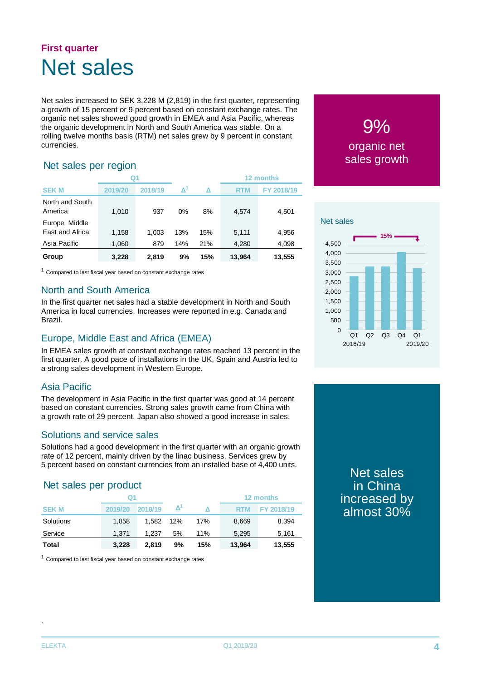### **First quarter** Net sales

Net sales increased to SEK 3,228 M (2,819) in the first quarter, representing a growth of 15 percent or 9 percent based on constant exchange rates. The organic net sales showed good growth in EMEA and Asia Pacific, whereas the organic development in North and South America was stable. On a rolling twelve months basis (RTM) net sales grew by 9 percent in constant currencies.

#### Net sales per region

|                                   | Q <sub>1</sub> |         |     |     |            | 12 months  |
|-----------------------------------|----------------|---------|-----|-----|------------|------------|
| <b>SEK M</b>                      | 2019/20        | 2018/19 | Δ   | Δ   | <b>RTM</b> | FY 2018/19 |
| North and South<br>America        | 1,010          | 937     | 0%  | 8%  | 4.574      | 4,501      |
| Europe, Middle<br>East and Africa | 1,158          | 1.003   | 13% | 15% | 5,111      | 4,956      |
| Asia Pacific                      | 1,060          | 879     | 14% | 21% | 4,280      | 4,098      |
| Group                             | 3.228          | 2.819   | 9%  | 15% | 13,964     | 13,555     |

 $1$  Compared to last fiscal year based on constant exchange rates

#### North and South America

In the first quarter net sales had a stable development in North and South America in local currencies. Increases were reported in e.g. Canada and Brazil.

#### Europe, Middle East and Africa (EMEA)

In EMEA sales growth at constant exchange rates reached 13 percent in the first quarter. A good pace of installations in the UK, Spain and Austria led to a strong sales development in Western Europe.

#### Asia Pacific

The development in Asia Pacific in the first quarter was good at 14 percent based on constant currencies. Strong sales growth came from China with a growth rate of 29 percent. Japan also showed a good increase in sales.

#### Solutions and service sales

Solutions had a good development in the first quarter with an organic growth rate of 12 percent, mainly driven by the linac business. Services grew by 5 percent based on constant currencies from an installed base of 4,400 units.

#### Net sales per product

|              | Q1      |         |     |     | 12 months  |                   |  |
|--------------|---------|---------|-----|-----|------------|-------------------|--|
| <b>SEK M</b> | 2019/20 | 2018/19 |     |     | <b>RTM</b> | <b>FY 2018/19</b> |  |
| Solutions    | 1.858   | 1.582   | 12% | 17% | 8,669      | 8.394             |  |
| Service      | 1.371   | 1.237   | 5%  | 11% | 5.295      | 5.161             |  |
| Total        | 3,228   | 2.819   | 9%  | 15% | 13,964     | 13,555            |  |

 $1$  Compared to last fiscal year based on constant exchange rates

### 9% organic net sales growth



Net sales in China increased by almost 30%

.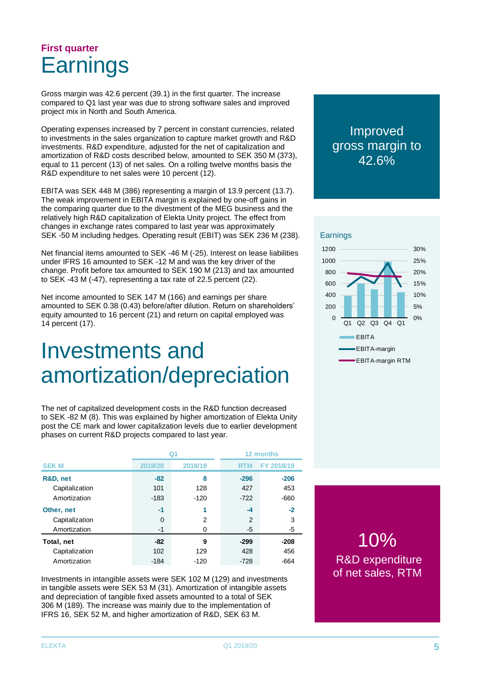### **First quarter Earnings**

Gross margin was 42.6 percent (39.1) in the first quarter. The increase compared to Q1 last year was due to strong software sales and improved project mix in North and South America.

Operating expenses increased by 7 percent in constant currencies, related to investments in the sales organization to capture market growth and R&D investments. R&D expenditure, adjusted for the net of capitalization and amortization of R&D costs described below, amounted to SEK 350 M (373), equal to 11 percent (13) of net sales. On a rolling twelve months basis the R&D expenditure to net sales were 10 percent (12).

EBITA was SEK 448 M (386) representing a margin of 13.9 percent (13.7). The weak improvement in EBITA margin is explained by one-off gains in the comparing quarter due to the divestment of the MEG business and the relatively high R&D capitalization of Elekta Unity project. The effect from changes in exchange rates compared to last year was approximately SEK -50 M including hedges. Operating result (EBIT) was SEK 236 M (238).

Net financial items amounted to SEK -46 M (-25). Interest on lease liabilities under IFRS 16 amounted to SEK -12 M and was the key driver of the change. Profit before tax amounted to SEK 190 M (213) and tax amounted to SEK -43 M (-47), representing a tax rate of 22.5 percent (22).

Net income amounted to SEK 147 M (166) and earnings per share amounted to SEK 0.38 (0.43) before/after dilution. Return on shareholders' equity amounted to 16 percent (21) and return on capital employed was 14 percent (17).

# Investments and amortization/depreciation

The net of capitalized development costs in the R&D function decreased to SEK -82 M (8). This was explained by higher amortization of Elekta Unity post the CE mark and lower capitalization levels due to earlier development phases on current R&D projects compared to last year.

|                |         |          | 12 months  |            |  |
|----------------|---------|----------|------------|------------|--|
| <b>SEK M</b>   | 2019/20 | 2018/19  | <b>RTM</b> | FY 2018/19 |  |
| R&D, net       | $-82$   | 8        | $-296$     | $-206$     |  |
| Capitalization | 101     | 128      | 427        | 453        |  |
| Amortization   | $-183$  | $-120$   | $-722$     | $-660$     |  |
| Other, net     | $-1$    | 1        | $-4$       | $-2$       |  |
| Capitalization | 0       | 2        | 2          | 3          |  |
| Amortization   | $-1$    | $\Omega$ | -5         | -5         |  |
| Total, net     | $-82$   | 9        | $-299$     | $-208$     |  |
| Capitalization | 102     | 129      | 428        | 456        |  |
| Amortization   | $-184$  | $-120$   | $-728$     | -664       |  |

Investments in intangible assets were SEK 102 M (129) and investments in tangible assets were SEK 53 M (31). Amortization of intangible assets and depreciation of tangible fixed assets amounted to a total of SEK 306 M (189). The increase was mainly due to the implementation of IFRS 16, SEK 52 M, and higher amortization of R&D, SEK 63 M.

#### Improved gross margin to 42.6%





10% R&D expenditure of net sales, RTM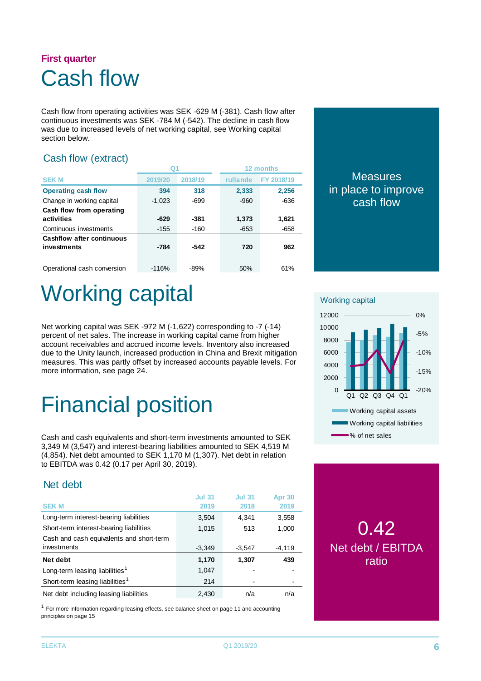### **First quarter** Cash flow

Cash flow from operating activities was SEK -629 M (-381). Cash flow after continuous investments was SEK -784 M (-542). The decline in cash flow was due to increased levels of net working capital, see Working capital section below.

#### Cash flow (extract)

|                                                 |          |         | 12 months |            |  |
|-------------------------------------------------|----------|---------|-----------|------------|--|
| <b>SEK M</b>                                    | 2019/20  | 2018/19 | rullande  | FY 2018/19 |  |
| <b>Operating cash flow</b>                      | 394      | 318     | 2,333     | 2,256      |  |
| Change in working capital                       | $-1,023$ | $-699$  | $-960$    | $-636$     |  |
| Cash flow from operating<br>activities          | $-629$   | $-381$  | 1,373     | 1,621      |  |
| Continuous investments                          | $-155$   | -160    | $-653$    | $-658$     |  |
| <b>Cashflow after continuous</b><br>investments | $-784$   | $-542$  | 720       | 962        |  |
| Operational cash conversion                     | $-116%$  | $-89%$  | 50%       | 61%        |  |

#### **Measures** in place to improve cash flow

# Working capital

Net working capital was SEK -972 M (-1,622) corresponding to -7 (-14) percent of net sales. The increase in working capital came from higher account receivables and accrued income levels. Inventory also increased due to the Unity launch, increased production in China and Brexit mitigation measures. This was partly offset by increased accounts payable levels. For more information, see page 24.

# Financial position

Cash and cash equivalents and short-term investments amounted to SEK 3,349 M (3,547) and interest-bearing liabilities amounted to SEK 4,519 M (4,854). Net debt amounted to SEK 1,170 M (1,307). Net debt in relation to EBITDA was 0.42 (0.17 per April 30, 2019).

#### Net debt

| <b>SEK M</b>                                | <b>Jul 31</b><br>2019 | <b>Jul 31</b><br>2018 | <b>Apr 30</b><br>2019 |
|---------------------------------------------|-----------------------|-----------------------|-----------------------|
| Long-term interest-bearing liabilities      | 3,504                 | 4,341                 | 3,558                 |
| Short-term interest-bearing liabilities     | 1.015                 | 513                   | 1,000                 |
| Cash and cash equivalents and short-term    |                       |                       |                       |
| investments                                 | $-3,349$              | $-3,547$              | $-4,119$              |
| Net debt                                    | 1,170                 | 1,307                 | 439                   |
| Long-term leasing liabilities <sup>1</sup>  | 1,047                 |                       |                       |
| Short-term leasing liabilities <sup>1</sup> | 214                   |                       |                       |
| Net debt including leasing liabilities      | 2,430                 | n/a                   | n/a                   |

 $1$  For more information regarding leasing effects, see balance sheet on page 11 and accounting principles on page 15

Working capital -20% -15% -10% -5% 0%  $\Omega$ 2000 4000 6000 8000 10000 12000 Q1 Q2 Q3 Q4 Q1 Working capital assets Working capital liabilities % of net sales

### 0.42 Net debt / EBITDA ratio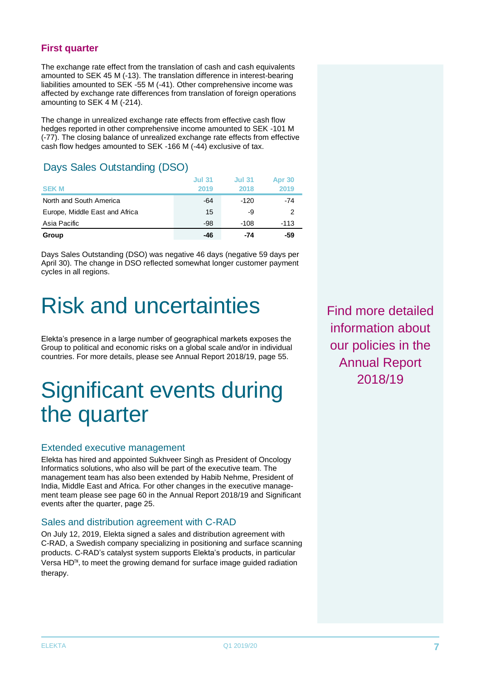The exchange rate effect from the translation of cash and cash equivalents amounted to SEK 45 M (-13). The translation difference in interest-bearing liabilities amounted to SEK -55 M (-41). Other comprehensive income was affected by exchange rate differences from translation of foreign operations amounting to SEK 4 M (-214).

The change in unrealized exchange rate effects from effective cash flow hedges reported in other comprehensive income amounted to SEK -101 M (-77). The closing balance of unrealized exchange rate effects from effective cash flow hedges amounted to SEK -166 M (-44) exclusive of tax.

#### Days Sales Outstanding (DSO)

| <b>SEK M</b>                   | <b>Jul 31</b><br>2019 | <b>Jul 31</b><br>2018 | Apr 30<br>2019 |
|--------------------------------|-----------------------|-----------------------|----------------|
| North and South America        | -64                   | $-120$                | $-74$          |
| Europe, Middle East and Africa | 15                    | -9                    | 2              |
| Asia Pacific                   | -98                   | -108                  | $-113$         |
| Group                          | -46                   | -74                   | -59            |

Days Sales Outstanding (DSO) was negative 46 days (negative 59 days per April 30). The change in DSO reflected somewhat longer customer payment cycles in all regions.

# Risk and uncertainties

Elekta's presence in a large number of geographical markets exposes the Group to political and economic risks on a global scale and/or in individual countries. For more details, please see Annual Report 2018/19, page 55.

# Significant events during the quarter

#### Extended executive management

Elekta has hired and appointed Sukhveer Singh as President of Oncology Informatics solutions, who also will be part of the executive team. The management team has also been extended by Habib Nehme, President of India, Middle East and Africa. For other changes in the executive management team please see page 60 in the Annual Report 2018/19 and Significant events after the quarter, page 25.

#### Sales and distribution agreement with C-RAD

On July 12, 2019, Elekta signed a sales and distribution agreement with C-RAD, a Swedish company specializing in positioning and surface scanning products. C-RAD's catalyst system supports Elekta's products, in particular Versa HD™, to meet the growing demand for surface image guided radiation therapy.

Find more detailed information about our policies in the Annual Report 2018/19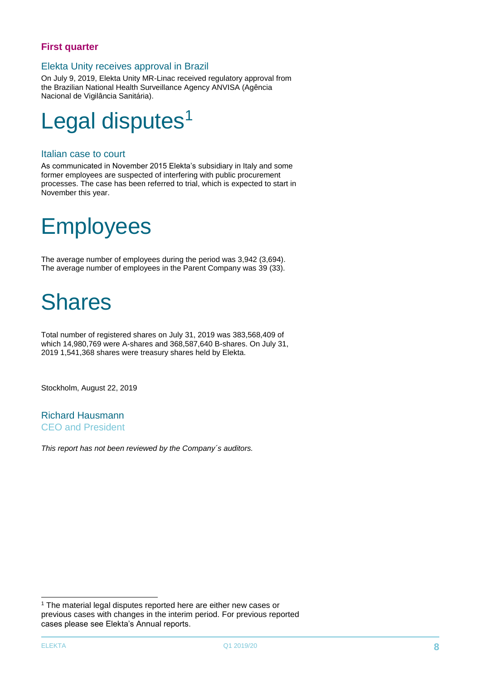#### Elekta Unity receives approval in Brazil

On July 9, 2019, Elekta Unity MR-Linac received regulatory approval from the Brazilian National Health Surveillance Agency ANVISA (Agência Nacional de Vigilância Sanitária).



#### Italian case to court

As communicated in November 2015 Elekta's subsidiary in Italy and some former employees are suspected of interfering with public procurement processes. The case has been referred to trial, which is expected to start in November this year.

# Employees

The average number of employees during the period was 3,942 (3,694). The average number of employees in the Parent Company was 39 (33).

# Shares

Total number of registered shares on July 31, 2019 was 383,568,409 of which 14,980,769 were A-shares and 368,587,640 B-shares. On July 31, 2019 1,541,368 shares were treasury shares held by Elekta.

Stockholm, August 22, 2019

Richard Hausmann CEO and President

*This report has not been reviewed by the Company´s auditors.*

-

<sup>&</sup>lt;sup>1</sup> The material legal disputes reported here are either new cases or previous cases with changes in the interim period. For previous reported cases please see Elekta's Annual reports.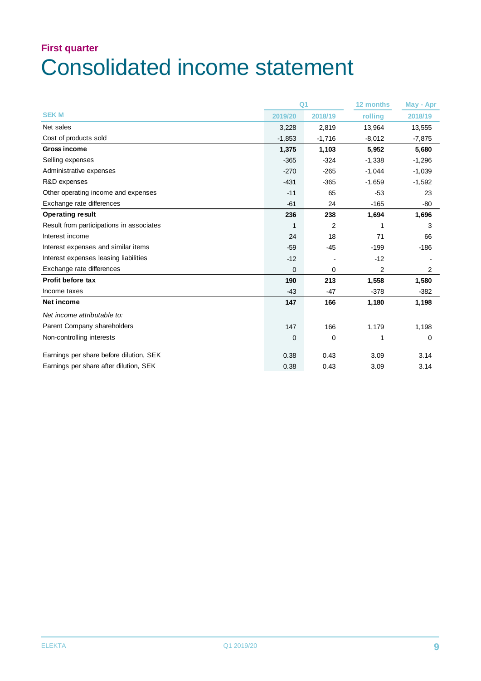## **First quarter** Consolidated income statement

|                                          |             | Q <sub>1</sub> | 12 months | May - Apr |
|------------------------------------------|-------------|----------------|-----------|-----------|
| <b>SEKM</b>                              | 2019/20     | 2018/19        | rolling   | 2018/19   |
| Net sales                                | 3,228       | 2,819          | 13,964    | 13,555    |
| Cost of products sold                    | $-1,853$    | $-1,716$       | $-8,012$  | $-7,875$  |
| <b>Gross income</b>                      | 1,375       | 1,103          | 5,952     | 5,680     |
| Selling expenses                         | $-365$      | $-324$         | $-1,338$  | $-1,296$  |
| Administrative expenses                  | $-270$      | $-265$         | $-1,044$  | $-1,039$  |
| R&D expenses                             | $-431$      | $-365$         | $-1,659$  | $-1,592$  |
| Other operating income and expenses      | $-11$       | 65             | $-53$     | 23        |
| Exchange rate differences                | $-61$       | 24             | $-165$    | $-80$     |
| <b>Operating result</b>                  | 236         | 238            | 1,694     | 1,696     |
| Result from participations in associates | 1           | $\overline{2}$ | 1         | 3         |
| Interest income                          | 24          | 18             | 71        | 66        |
| Interest expenses and similar items      | $-59$       | $-45$          | $-199$    | $-186$    |
| Interest expenses leasing liabilities    | $-12$       |                | $-12$     |           |
| Exchange rate differences                | $\Omega$    | 0              | 2         | 2         |
| <b>Profit before tax</b>                 | 190         | 213            | 1,558     | 1,580     |
| Income taxes                             | $-43$       | $-47$          | $-378$    | $-382$    |
| Net income                               | 147         | 166            | 1,180     | 1,198     |
| Net income attributable to:              |             |                |           |           |
| Parent Company shareholders              | 147         | 166            | 1,179     | 1,198     |
| Non-controlling interests                | $\mathbf 0$ | 0              | 1         | 0         |
| Earnings per share before dilution, SEK  | 0.38        | 0.43           | 3.09      | 3.14      |
| Earnings per share after dilution, SEK   | 0.38        | 0.43           | 3.09      | 3.14      |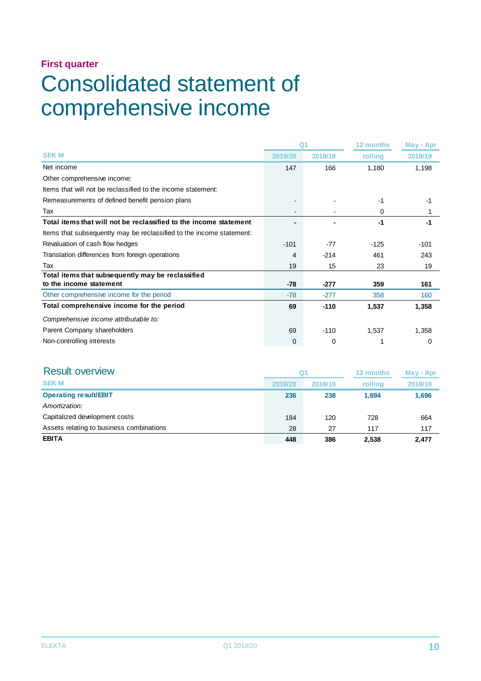# Consolidated statement of comprehensive income

|                                                                      |         | Q <sub>1</sub> | 12 months | May - Apr |
|----------------------------------------------------------------------|---------|----------------|-----------|-----------|
| <b>SEKM</b>                                                          | 2019/20 | 2018/19        | rolling   | 2018/19   |
| Net income                                                           | 147     | 166            | 1,180     | 1,198     |
| Other comprehensive income:                                          |         |                |           |           |
| Items that will not be reclassified to the income statement:         |         |                |           |           |
| Remeasurements of defined benefit pension plans                      |         |                | -1        | -1        |
| Tax                                                                  |         |                | 0         |           |
| Total items that will not be reclassified to the income statement    |         |                | -1        | -1        |
| Items that subsequently may be reclassified to the income statement: |         |                |           |           |
| Revaluation of cash flow hedges                                      | $-101$  | $-77$          | $-125$    | $-101$    |
| Translation differences from foreign operations                      | 4       | $-214$         | 461       | 243       |
| Tax                                                                  | 19      | 15             | 23        | 19        |
| Total items that subsequently may be reclassified                    |         |                |           |           |
| to the income statement                                              | $-78$   | $-277$         | 359       | 161       |
| Other comprehensive income for the period                            | $-78$   | $-277$         | 358       | 160       |
| Total comprehensive income for the period                            | 69      | $-110$         | 1,537     | 1,358     |
| Comprehensive income attributable to:                                |         |                |           |           |
| Parent Company shareholders                                          | 69      | $-110$         | 1,537     | 1,358     |
| Non-controlling interests                                            | 0       | 0              |           | 0         |

| <b>Result overview</b>                   | Q1      |         | 12 months | May - Apr |
|------------------------------------------|---------|---------|-----------|-----------|
| <b>SEKM</b>                              | 2019/20 | 2018/19 | rolling   | 2018/19   |
| <b>Operating result/EBIT</b>             | 236     | 238     | 1.694     | 1,696     |
| Amortization:                            |         |         |           |           |
| Capitalized development costs            | 184     | 120     | 728       | 664       |
| Assets relating to business combinations | 28      | 27      | 117       | 117       |
| <b>EBITA</b>                             | 448     | 386     | 2,538     | 2.477     |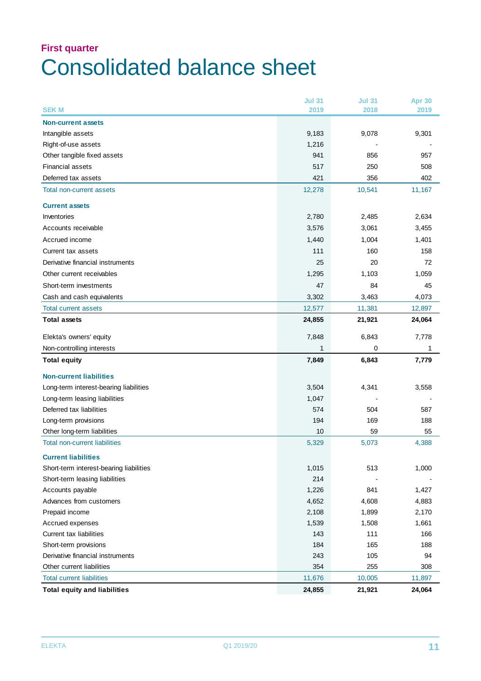### **First quarter** Consolidated balance sheet

|                                         | <b>Jul 31</b> | <b>Jul 31</b> | <b>Apr 30</b> |
|-----------------------------------------|---------------|---------------|---------------|
| <b>SEKM</b>                             | 2019          | 2018          | 2019          |
| <b>Non-current assets</b>               |               |               |               |
| Intangible assets                       | 9,183         | 9,078         | 9,301         |
| Right-of-use assets                     | 1,216         |               |               |
| Other tangible fixed assets             | 941           | 856           | 957           |
| <b>Financial assets</b>                 | 517           | 250           | 508           |
| Deferred tax assets                     | 421           | 356           | 402           |
| Total non-current assets                | 12,278        | 10,541        | 11,167        |
| <b>Current assets</b>                   |               |               |               |
| Inventories                             | 2,780         | 2,485         | 2,634         |
| Accounts receivable                     | 3,576         | 3,061         | 3,455         |
| Accrued income                          | 1,440         | 1,004         | 1,401         |
| Current tax assets                      | 111           | 160           | 158           |
| Derivative financial instruments        | 25            | 20            | 72            |
| Other current receivables               | 1,295         | 1,103         | 1,059         |
| Short-term investments                  | 47            | 84            | 45            |
| Cash and cash equivalents               | 3,302         | 3,463         | 4,073         |
| <b>Total current assets</b>             | 12,577        | 11,381        | 12,897        |
| <b>Total assets</b>                     | 24,855        | 21,921        | 24,064        |
| Elekta's owners' equity                 | 7,848         | 6,843         | 7,778         |
|                                         |               |               |               |
| Non-controlling interests               | 1             | 0             | 1             |
| <b>Total equity</b>                     | 7,849         | 6,843         | 7,779         |
| <b>Non-current liabilities</b>          |               |               |               |
| Long-term interest-bearing liabilities  | 3,504         | 4,341         | 3,558         |
| Long-term leasing liabilities           | 1,047         |               |               |
| Deferred tax liabilities                | 574           | 504           | 587           |
| Long-term provisions                    | 194           | 169           | 188           |
| Other long-term liabilities             | 10            | 59            | 55            |
| <b>Total non-current liabilities</b>    | 5,329         | 5,073         | 4,388         |
| <b>Current liabilities</b>              |               |               |               |
| Short-term interest-bearing liabilities | 1,015         | 513           | 1,000         |
| Short-term leasing liabilities          | 214           |               |               |
| Accounts payable                        | 1,226         | 841           | 1,427         |
| Advances from customers                 | 4,652         | 4,608         | 4,883         |
| Prepaid income                          | 2,108         | 1,899         | 2,170         |
| Accrued expenses                        | 1,539         | 1,508         | 1,661         |
| Current tax liabilities                 | 143           | 111           | 166           |
| Short-term provisions                   | 184           | 165           | 188           |
| Derivative financial instruments        | 243           | 105           | 94            |
| Other current liabilities               | 354           | 255           | 308           |
| <b>Total current liabilities</b>        | 11,676        | 10,005        | 11,897        |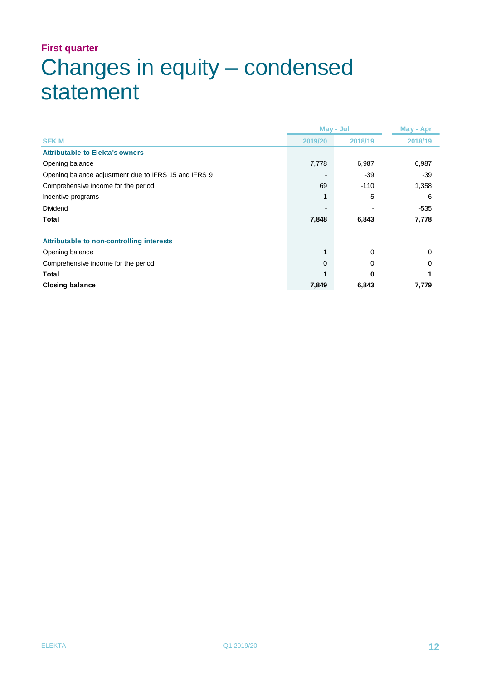# **First quarter** Changes in equity – condensed statement

|                                                      |         | May - Jul | May - Apr |
|------------------------------------------------------|---------|-----------|-----------|
| <b>SEK M</b>                                         | 2019/20 | 2018/19   | 2018/19   |
| <b>Attributable to Elekta's owners</b>               |         |           |           |
| Opening balance                                      | 7,778   | 6,987     | 6,987     |
| Opening balance adjustment due to IFRS 15 and IFRS 9 |         | -39       | $-39$     |
| Comprehensive income for the period                  | 69      | $-110$    | 1,358     |
| Incentive programs                                   |         | 5         | 6         |
| Dividend                                             |         |           | $-535$    |
| Total                                                | 7,848   | 6,843     | 7,778     |
|                                                      |         |           |           |
| Attributable to non-controlling interests            |         |           |           |
| Opening balance                                      |         | 0         | 0         |
| Comprehensive income for the period                  | 0       | 0         | 0         |
| Total                                                |         | 0         |           |
| <b>Closing balance</b>                               | 7,849   | 6,843     | 7,779     |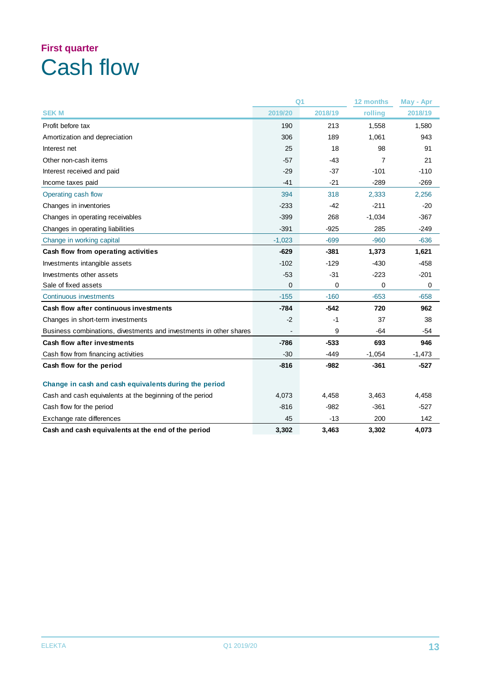# **First quarter** Cash flow

|                                                                    |                | Q <sub>1</sub> | 12 months | May - Apr |
|--------------------------------------------------------------------|----------------|----------------|-----------|-----------|
| <b>SEK M</b>                                                       | 2019/20        | 2018/19        | rolling   | 2018/19   |
| Profit before tax                                                  | 190            | 213            | 1,558     | 1,580     |
| Amortization and depreciation                                      | 306            | 189            | 1,061     | 943       |
| Interest net                                                       | 25             | 18             | 98        | 91        |
| Other non-cash items                                               | $-57$          | -43            | 7         | 21        |
| Interest received and paid                                         | $-29$          | $-37$          | $-101$    | $-110$    |
| Income taxes paid                                                  | $-41$          | $-21$          | $-289$    | $-269$    |
| Operating cash flow                                                | 394            | 318            | 2,333     | 2,256     |
| Changes in inventories                                             | $-233$         | $-42$          | $-211$    | $-20$     |
| Changes in operating receivables                                   | $-399$         | 268            | $-1,034$  | $-367$    |
| Changes in operating liabilities                                   | $-391$         | $-925$         | 285       | $-249$    |
| Change in working capital                                          | $-1,023$       | $-699$         | $-960$    | $-636$    |
| Cash flow from operating activities                                | $-629$         | $-381$         | 1,373     | 1,621     |
| Investments intangible assets                                      | $-102$         | $-129$         | $-430$    | $-458$    |
| Investments other assets                                           | $-53$          | $-31$          | $-223$    | $-201$    |
| Sale of fixed assets                                               | $\overline{0}$ | 0              | 0         | $\Omega$  |
| Continuous investments                                             | $-155$         | $-160$         | $-653$    | $-658$    |
| Cash flow after continuous investments                             | $-784$         | $-542$         | 720       | 962       |
| Changes in short-term investments                                  | $-2$           | -1             | 37        | 38        |
| Business combinations, divestments and investments in other shares |                | 9              | $-64$     | -54       |
| Cash flow after investments                                        | -786           | $-533$         | 693       | 946       |
| Cash flow from financing activities                                | $-30$          | $-449$         | $-1,054$  | $-1,473$  |
| Cash flow for the period                                           | $-816$         | $-982$         | $-361$    | $-527$    |
| Change in cash and cash equivalents during the period              |                |                |           |           |
| Cash and cash equivalents at the beginning of the period           | 4,073          | 4,458          | 3,463     | 4,458     |
| Cash flow for the period                                           | $-816$         | $-982$         | $-361$    | $-527$    |
| Exchange rate differences                                          | 45             | $-13$          | 200       | 142       |
| Cash and cash equivalents at the end of the period                 | 3,302          | 3,463          | 3,302     | 4,073     |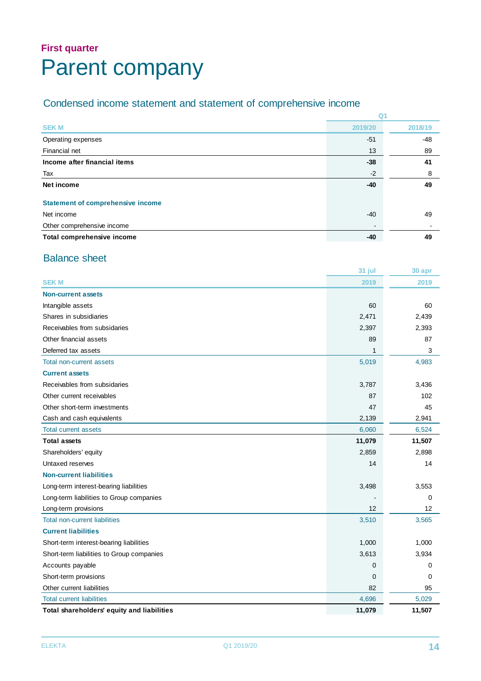## **First quarter** Parent company

#### Condensed income statement and statement of comprehensive income

|                                          | Q <sub>1</sub> |         |
|------------------------------------------|----------------|---------|
| <b>SEKM</b>                              | 2019/20        | 2018/19 |
| Operating expenses                       | $-51$          | $-48$   |
| Financial net                            | 13             | 89      |
| Income after financial items             | $-38$          | 41      |
| Tax                                      | $-2$           | 8       |
| Net income                               | $-40$          | 49      |
| <b>Statement of comprehensive income</b> |                |         |
| Net income                               | $-40$          | 49      |
| Other comprehensive income               |                |         |
| Total comprehensive income               | $-40$          | 49      |

#### Balance sheet

|                                            | 31 jul      | 30 apr |
|--------------------------------------------|-------------|--------|
| <b>SEK M</b>                               | 2019        | 2019   |
| <b>Non-current assets</b>                  |             |        |
| Intangible assets                          | 60          | 60     |
| Shares in subsidiaries                     | 2,471       | 2,439  |
| Receivables from subsidaries               | 2,397       | 2,393  |
| Other financial assets                     | 89          | 87     |
| Deferred tax assets                        | $\mathbf 1$ | 3      |
| <b>Total non-current assets</b>            | 5,019       | 4,983  |
| <b>Current assets</b>                      |             |        |
| Receivables from subsidaries               | 3,787       | 3,436  |
| Other current receivables                  | 87          | 102    |
| Other short-term investments               | 47          | 45     |
| Cash and cash equivalents                  | 2,139       | 2,941  |
| <b>Total current assets</b>                | 6,060       | 6,524  |
| <b>Total assets</b>                        | 11,079      | 11,507 |
| Shareholders' equity                       | 2,859       | 2,898  |
| Untaxed reserves                           | 14          | 14     |
| <b>Non-current liabilities</b>             |             |        |
| Long-term interest-bearing liabilities     | 3,498       | 3,553  |
| Long-term liabilities to Group companies   |             | 0      |
| Long-term provisions                       | 12          | 12     |
| <b>Total non-current liabilities</b>       | 3,510       | 3,565  |
| <b>Current liabilities</b>                 |             |        |
| Short-term interest-bearing liabilities    | 1,000       | 1,000  |
| Short-term liabilities to Group companies  | 3,613       | 3,934  |
| Accounts payable                           | 0           | 0      |
| Short-term provisions                      | $\mathbf 0$ | 0      |
| Other current liabilities                  | 82          | 95     |
| <b>Total current liabilities</b>           | 4,696       | 5,029  |
| Total shareholders' equity and liabilities | 11,079      | 11,507 |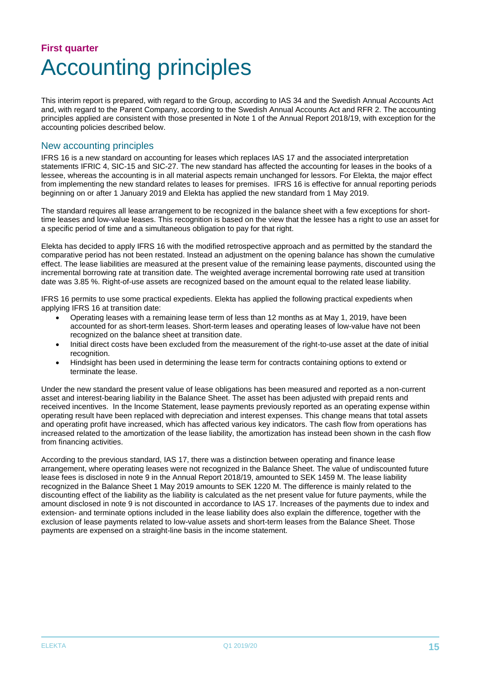## **First quarter** Accounting principles

This interim report is prepared, with regard to the Group, according to IAS 34 and the Swedish Annual Accounts Act and, with regard to the Parent Company, according to the Swedish Annual Accounts Act and RFR 2. The accounting principles applied are consistent with those presented in Note 1 of the Annual Report 2018/19, with exception for the accounting policies described below.

#### New accounting principles

IFRS 16 is a new standard on accounting for leases which replaces IAS 17 and the associated interpretation statements IFRIC 4, SIC-15 and SIC-27. The new standard has affected the accounting for leases in the books of a lessee, whereas the accounting is in all material aspects remain unchanged for lessors. For Elekta, the major effect from implementing the new standard relates to leases for premises. IFRS 16 is effective for annual reporting periods beginning on or after 1 January 2019 and Elekta has applied the new standard from 1 May 2019.

The standard requires all lease arrangement to be recognized in the balance sheet with a few exceptions for shorttime leases and low-value leases. This recognition is based on the view that the lessee has a right to use an asset for a specific period of time and a simultaneous obligation to pay for that right.

Elekta has decided to apply IFRS 16 with the modified retrospective approach and as permitted by the standard the comparative period has not been restated. Instead an adjustment on the opening balance has shown the cumulative effect. The lease liabilities are measured at the present value of the remaining lease payments, discounted using the incremental borrowing rate at transition date. The weighted average incremental borrowing rate used at transition date was 3.85 %. Right-of-use assets are recognized based on the amount equal to the related lease liability.

IFRS 16 permits to use some practical expedients. Elekta has applied the following practical expedients when applying IFRS 16 at transition date:

- Operating leases with a remaining lease term of less than 12 months as at May 1, 2019, have been accounted for as short-term leases. Short-term leases and operating leases of low-value have not been recognized on the balance sheet at transition date.
- Initial direct costs have been excluded from the measurement of the right-to-use asset at the date of initial recognition.
- Hindsight has been used in determining the lease term for contracts containing options to extend or terminate the lease.

Under the new standard the present value of lease obligations has been measured and reported as a non-current asset and interest-bearing liability in the Balance Sheet. The asset has been adjusted with prepaid rents and received incentives. In the Income Statement, lease payments previously reported as an operating expense within operating result have been replaced with depreciation and interest expenses. This change means that total assets and operating profit have increased, which has affected various key indicators. The cash flow from operations has increased related to the amortization of the lease liability, the amortization has instead been shown in the cash flow from financing activities.

According to the previous standard, IAS 17, there was a distinction between operating and finance lease arrangement, where operating leases were not recognized in the Balance Sheet. The value of undiscounted future lease fees is disclosed in note 9 in the Annual Report 2018/19, amounted to SEK 1459 M. The lease liability recognized in the Balance Sheet 1 May 2019 amounts to SEK 1220 M. The difference is mainly related to the discounting effect of the liability as the liability is calculated as the net present value for future payments, while the amount disclosed in note 9 is not discounted in accordance to IAS 17. Increases of the payments due to index and extension- and terminate options included in the lease liability does also explain the difference, together with the exclusion of lease payments related to low-value assets and short-term leases from the Balance Sheet. Those payments are expensed on a straight-line basis in the income statement.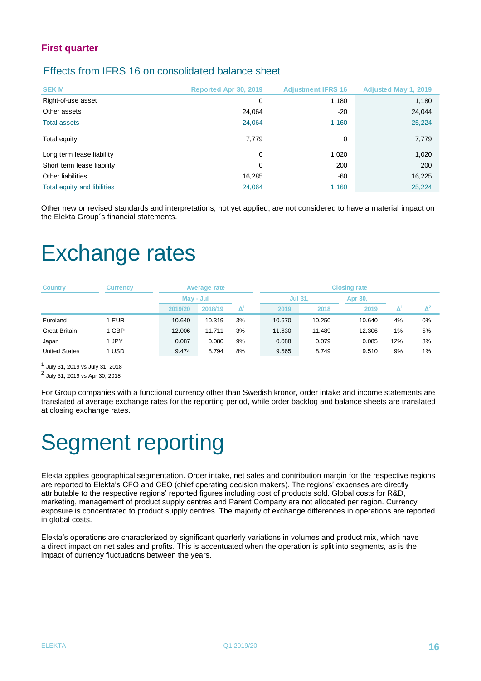#### Effects from IFRS 16 on consolidated balance sheet

| <b>SEKM</b>                 | Reported Apr 30, 2019 | <b>Adjustment IFRS 16</b> | <b>Adjusted May 1, 2019</b> |
|-----------------------------|-----------------------|---------------------------|-----------------------------|
| Right-of-use asset          | 0                     | 1,180                     | 1,180                       |
| Other assets                | 24,064                | $-20$                     | 24,044                      |
| <b>Total assets</b>         | 24,064                | 1,160                     | 25,224                      |
| Total equity                | 7,779                 | 0                         | 7,779                       |
| Long term lease liability   | 0                     | 1,020                     | 1,020                       |
| Short term lease liability  | 0                     | 200                       | 200                         |
| Other liabilities           | 16,285                | -60                       | 16,225                      |
| Total equity and libilities | 24,064                | 1,160                     | 25,224                      |

Other new or revised standards and interpretations, not yet applied, are not considered to have a material impact on the Elekta Group´s financial statements.

# Exchange rates

| <b>Country</b>       | <b>Currency</b> |         | Average rate |    | <b>Closing rate</b> |        |         |     |                |  |
|----------------------|-----------------|---------|--------------|----|---------------------|--------|---------|-----|----------------|--|
|                      |                 |         | May - Jul    |    | <b>Jul 31,</b>      |        | Apr 30, |     |                |  |
|                      |                 | 2019/20 | 2018/19      | Δ  | 2019                | 2018   | 2019    |     | $\mathsf{A}^z$ |  |
| Euroland             | <b>EUR</b>      | 10.640  | 10.319       | 3% | 10.670              | 10.250 | 10.640  | 4%  | $0\%$          |  |
| <b>Great Britain</b> | <b>GBP</b>      | 12.006  | 11.711       | 3% | 11.630              | 11.489 | 12.306  | 1%  | $-5%$          |  |
| Japan                | 1 JPY           | 0.087   | 0.080        | 9% | 0.088               | 0.079  | 0.085   | 12% | 3%             |  |
| <b>United States</b> | <b>USD</b>      | 9.474   | 8.794        | 8% | 9.565               | 8.749  | 9.510   | 9%  | 1%             |  |

1 July 31, 2019 vs July 31, 2018

2 July 31, 2019 vs Apr 30, 2018

For Group companies with a functional currency other than Swedish kronor, order intake and income statements are translated at average exchange rates for the reporting period, while order backlog and balance sheets are translated at closing exchange rates.

# Segment reporting

Elekta applies geographical segmentation. Order intake, net sales and contribution margin for the respective regions are reported to Elekta's CFO and CEO (chief operating decision makers). The regions' expenses are directly attributable to the respective regions' reported figures including cost of products sold. Global costs for R&D, marketing, management of product supply centres and Parent Company are not allocated per region. Currency exposure is concentrated to product supply centres. The majority of exchange differences in operations are reported in global costs.

Elekta's operations are characterized by significant quarterly variations in volumes and product mix, which have a direct impact on net sales and profits. This is accentuated when the operation is split into segments, as is the impact of currency fluctuations between the years.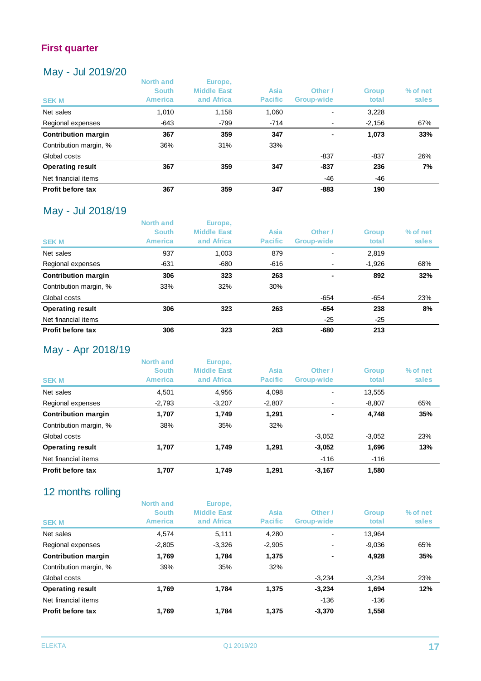#### May - Jul 2019/20

| <b>IVICIY</b><br>$U = 2U + U/Z$ |                                                    |                                             |                        |                       |                       |                   |
|---------------------------------|----------------------------------------------------|---------------------------------------------|------------------------|-----------------------|-----------------------|-------------------|
| <b>SEK M</b>                    | <b>North and</b><br><b>South</b><br><b>America</b> | Europe,<br><b>Middle East</b><br>and Africa | Asia<br><b>Pacific</b> | Other /<br>Group-wide | <b>Group</b><br>total | % of net<br>sales |
| Net sales                       | 1,010                                              | 1,158                                       | 1,060                  | $\blacksquare$        | 3,228                 |                   |
| Regional expenses               | $-643$                                             | $-799$                                      | $-714$                 | $\blacksquare$        | $-2,156$              | 67%               |
| <b>Contribution margin</b>      | 367                                                | 359                                         | 347                    | ٠                     | 1,073                 | 33%               |
| Contribution margin, %          | 36%                                                | 31%                                         | 33%                    |                       |                       |                   |
| Global costs                    |                                                    |                                             |                        | $-837$                | $-837$                | 26%               |
| <b>Operating result</b>         | 367                                                | 359                                         | 347                    | $-837$                | 236                   | 7%                |
| Net financial items             |                                                    |                                             |                        | -46                   | -46                   |                   |
| Profit before tax               | 367                                                | 359                                         | 347                    | $-883$                | 190                   |                   |

#### May - Jul 2018/19

| <b>SEK M</b>               | North and<br><b>South</b><br>America | Europe,<br><b>Middle East</b><br>and Africa | Asia<br><b>Pacific</b> | Other /<br>Group-wide    | <b>Group</b><br>total | % of net<br>sales |
|----------------------------|--------------------------------------|---------------------------------------------|------------------------|--------------------------|-----------------------|-------------------|
| Net sales                  | 937                                  | 1,003                                       | 879                    | $\overline{\phantom{0}}$ | 2,819                 |                   |
| Regional expenses          | $-631$                               | -680                                        | $-616$                 | $\blacksquare$           | $-1,926$              | 68%               |
| <b>Contribution margin</b> | 306                                  | 323                                         | 263                    |                          | 892                   | 32%               |
| Contribution margin, %     | 33%                                  | 32%                                         | 30%                    |                          |                       |                   |
| Global costs               |                                      |                                             |                        | $-654$                   | $-654$                | 23%               |
| <b>Operating result</b>    | 306                                  | 323                                         | 263                    | $-654$                   | 238                   | 8%                |
| Net financial items        |                                      |                                             |                        | $-25$                    | $-25$                 |                   |
| Profit before tax          | 306                                  | 323                                         | 263                    | $-680$                   | 213                   |                   |

#### May - Apr 2018/19

| <b>SEK M</b>               | North and<br><b>South</b><br><b>America</b> | Europe,<br><b>Middle East</b><br>and Africa | <b>Asia</b><br><b>Pacific</b> | Other /<br>Group-wide | <b>Group</b><br>total | % of net<br>sales |
|----------------------------|---------------------------------------------|---------------------------------------------|-------------------------------|-----------------------|-----------------------|-------------------|
| Net sales                  | 4.501                                       | 4,956                                       | 4.098                         |                       | 13,555                |                   |
| Regional expenses          | $-2,793$                                    | $-3,207$                                    | $-2,807$                      |                       | $-8,807$              | 65%               |
| <b>Contribution margin</b> | 1,707                                       | 1,749                                       | 1,291                         |                       | 4,748                 | 35%               |
| Contribution margin, %     | 38%                                         | 35%                                         | 32%                           |                       |                       |                   |
| Global costs               |                                             |                                             |                               | $-3,052$              | $-3,052$              | 23%               |
| <b>Operating result</b>    | 1.707                                       | 1,749                                       | 1.291                         | $-3,052$              | 1,696                 | 13%               |
| Net financial items        |                                             |                                             |                               | $-116$                | $-116$                |                   |
| Profit before tax          | 1.707                                       | 1.749                                       | 1.291                         | $-3.167$              | 1,580                 |                   |

#### 12 months rolling

| <b>SEK M</b>               | <b>North and</b><br><b>South</b><br><b>America</b> | Europe,<br><b>Middle East</b><br>and Africa | Asia<br><b>Pacific</b> | Other /<br>Group-wide    | <b>Group</b><br>total | $%$ of net<br>sales |
|----------------------------|----------------------------------------------------|---------------------------------------------|------------------------|--------------------------|-----------------------|---------------------|
| Net sales                  | 4,574                                              | 5,111                                       | 4,280                  | $\overline{\phantom{0}}$ | 13.964                |                     |
| Regional expenses          | $-2,805$                                           | $-3,326$                                    | $-2,905$               |                          | $-9,036$              | 65%                 |
| <b>Contribution margin</b> | 1,769                                              | 1,784                                       | 1,375                  | $\blacksquare$           | 4,928                 | 35%                 |
| Contribution margin, %     | 39%                                                | 35%                                         | 32%                    |                          |                       |                     |
| Global costs               |                                                    |                                             |                        | $-3,234$                 | $-3,234$              | 23%                 |
| <b>Operating result</b>    | 1,769                                              | 1,784                                       | 1,375                  | $-3,234$                 | 1,694                 | 12%                 |
| Net financial items        |                                                    |                                             |                        | -136                     | $-136$                |                     |
| Profit before tax          | 1,769                                              | 1.784                                       | 1.375                  | $-3,370$                 | 1,558                 |                     |
|                            |                                                    |                                             |                        |                          |                       |                     |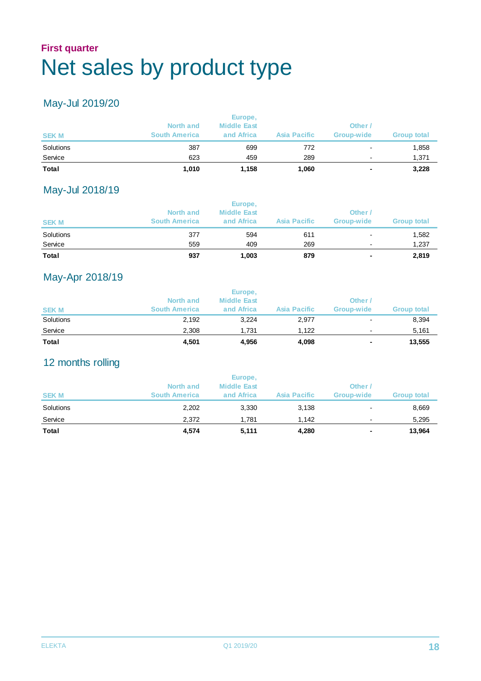### **First quarter** Net sales by product type

#### May-Jul 2019/20

| <b>SEKM</b> | North and<br><b>South America</b> | <b>Middle East</b><br>and Africa | Asia Pacific | Other<br>Group-wide | <b>Group total</b> |
|-------------|-----------------------------------|----------------------------------|--------------|---------------------|--------------------|
| Solutions   | 387                               | 699                              | 772          |                     | 1,858              |
| Service     | 623                               | 459                              | 289          |                     | 1,371              |
| Total       | 1.010                             | 1,158                            | 1,060        | ۰                   | 3,228              |

#### May-Jul 2018/19

| <b>Total</b> | 937                  | 1,003              | 879          | ٠              | 2,819       |
|--------------|----------------------|--------------------|--------------|----------------|-------------|
| Service      | 559                  | 409                | 269          | $\blacksquare$ | 1,237       |
| Solutions    | 377                  | 594                | 611          | $\blacksquare$ | 1,582       |
| <b>SEK M</b> | <b>South America</b> | and Africa         | Asia Pacific | Group-wide     | Group total |
|              | North and            | <b>Middle East</b> |              | Other          |             |
|              |                      | Europe,            |              |                |             |

#### May-Apr 2018/19

| Total       | 4,501                | 4,956              | 4,098        | ۰                        | 13,555             |
|-------------|----------------------|--------------------|--------------|--------------------------|--------------------|
| Service     | 2.308                | 1.731              | 1.122        | $\overline{\phantom{a}}$ | 5,161              |
| Solutions   | 2,192                | 3,224              | 2,977        | $\overline{\phantom{a}}$ | 8,394              |
| <b>SEKM</b> | <b>South America</b> | and Africa         | Asia Pacific | Group-wide               | <b>Group total</b> |
|             | North and            | <b>Middle East</b> |              | Other                    |                    |
|             |                      | Europe,            |              |                          |                    |

#### 12 months rolling

| Total        | 4,574                | 5,111                         | 4,280        | ۰              | 13,964             |
|--------------|----------------------|-------------------------------|--------------|----------------|--------------------|
| Service      | 2.372                | 1.781                         | 1.142        | $\blacksquare$ | 5,295              |
| Solutions    | 2,202                | 3,330                         | 3,138        | $\blacksquare$ | 8,669              |
| <b>SEK M</b> | <b>South America</b> | and Africa                    | Asia Pacific | Group-wide     | <b>Group total</b> |
|              | North and            | Europe,<br><b>Middle East</b> |              | Other /        |                    |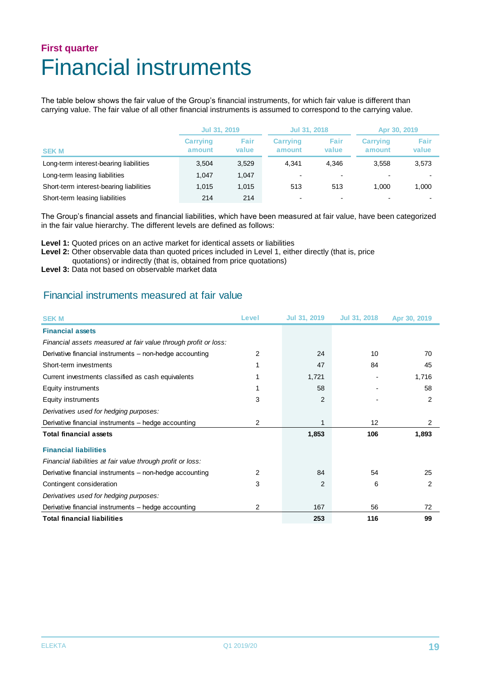## **First quarter** Financial instruments

The table below shows the fair value of the Group's financial instruments, for which fair value is different than carrying value. The fair value of all other financial instruments is assumed to correspond to the carrying value.

|                                         | Jul 31, 2019              |               | Jul 31, 2018              |                          | Apr 30, 2019              |               |
|-----------------------------------------|---------------------------|---------------|---------------------------|--------------------------|---------------------------|---------------|
| <b>SEK M</b>                            | <b>Carrying</b><br>amount | Fair<br>value | <b>Carrying</b><br>amount | Fair<br>value            | <b>Carrying</b><br>amount | Fair<br>value |
| Long-term interest-bearing liabilities  | 3.504                     | 3,529         | 4.341                     | 4.346                    | 3.558                     | 3,573         |
| Long-term leasing liabilities           | 1.047                     | 1.047         |                           | $\blacksquare$           |                           |               |
| Short-term interest-bearing liabilities | 1.015                     | 1,015         | 513                       | 513                      | 1.000                     | 1.000         |
| Short-term leasing liabilities          | 214                       | 214           |                           | $\overline{\phantom{0}}$ |                           |               |

The Group's financial assets and financial liabilities, which have been measured at fair value, have been categorized in the fair value hierarchy. The different levels are defined as follows:

**Level 1:** Quoted prices on an active market for identical assets or liabilities

Level 2: Other observable data than quoted prices included in Level 1, either directly (that is, price

- quotations) or indirectly (that is, obtained from price quotations)
- Level 3: Data not based on observable market data

#### Financial instruments measured at fair value

| <b>SEK M</b>                                                    | Level | Jul 31, 2019 | Jul 31, 2018 | Apr 30, 2019 |
|-----------------------------------------------------------------|-------|--------------|--------------|--------------|
| <b>Financial assets</b>                                         |       |              |              |              |
| Financial assets measured at fair value through profit or loss: |       |              |              |              |
| Derivative financial instruments - non-hedge accounting         | 2     | 24           | 10           | 70           |
| Short-term investments                                          |       | 47           | 84           | 45           |
| Current investments classified as cash equivalents              |       | 1,721        |              | 1,716        |
| Equity instruments                                              |       | 58           |              | 58           |
| Equity instruments                                              | 3     | 2            |              | 2            |
| Derivatives used for hedging purposes:                          |       |              |              |              |
| Derivative financial instruments - hedge accounting             | 2     |              | 12           | 2            |
| <b>Total financial assets</b>                                   |       | 1,853        | 106          | 1,893        |
| <b>Financial liabilities</b>                                    |       |              |              |              |
| Financial liabilities at fair value through profit or loss:     |       |              |              |              |
| Derivative financial instruments - non-hedge accounting         | 2     | 84           | 54           | 25           |
| Contingent consideration                                        | 3     | 2            | 6            | 2            |
| Derivatives used for hedging purposes:                          |       |              |              |              |
| Derivative financial instruments - hedge accounting             | 2     | 167          | 56           | 72           |
| <b>Total financial liabilities</b>                              |       | 253          | 116          | 99           |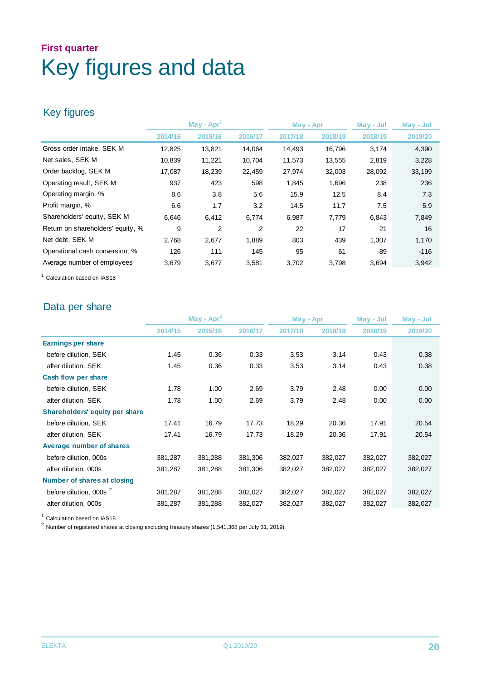# **First quarter** Key figures and data

#### Key figures

|                                   | $\mathsf{May}$ - Apr <sup>1</sup> |                |                | May - Apr |         | May - Jul | May - Jul |
|-----------------------------------|-----------------------------------|----------------|----------------|-----------|---------|-----------|-----------|
|                                   | 2014/15                           | 2015/16        | 2016/17        | 2017/18   | 2018/19 | 2018/19   | 2019/20   |
| Gross order intake, SEK M         | 12,825                            | 13,821         | 14,064         | 14,493    | 16,796  | 3,174     | 4,390     |
| Net sales, SEK M                  | 10,839                            | 11,221         | 10,704         | 11,573    | 13,555  | 2,819     | 3,228     |
| Order backlog, SEK M              | 17,087                            | 18,239         | 22,459         | 27,974    | 32,003  | 28,092    | 33,199    |
| Operating result, SEK M           | 937                               | 423            | 598            | 1,845     | 1,696   | 238       | 236       |
| Operating margin, %               | 8.6                               | 3.8            | 5.6            | 15.9      | 12.5    | 8.4       | 7.3       |
| Profit margin, %                  | 6.6                               | 1.7            | 3.2            | 14.5      | 11.7    | 7.5       | 5.9       |
| Shareholders' equity, SEK M       | 6,646                             | 6,412          | 6,774          | 6,987     | 7,779   | 6,843     | 7,849     |
| Return on shareholders' equity, % | 9                                 | $\overline{2}$ | $\overline{2}$ | 22        | 17      | 21        | 16        |
| Net debt, SEK M                   | 2,768                             | 2,677          | 1,889          | 803       | 439     | 1,307     | 1,170     |
| Operational cash conversion, %    | 126                               | 111            | 145            | 95        | 61      | $-89$     | $-116$    |
| Average number of employees       | 3,679                             | 3,677          | 3,581          | 3,702     | 3,798   | 3,694     | 3,942     |

<sup>1</sup> Calculation based on IAS18

#### Data per share

| $May - Apr1$ |         | May - Apr |         | May - Jul | May - Jul |         |
|--------------|---------|-----------|---------|-----------|-----------|---------|
| 2014/15      | 2015/16 | 2016/17   | 2017/18 | 2018/19   | 2018/19   | 2019/20 |
|              |         |           |         |           |           |         |
| 1.45         | 0.36    | 0.33      | 3.53    | 3.14      | 0.43      | 0.38    |
| 1.45         | 0.36    | 0.33      | 3.53    | 3.14      | 0.43      | 0.38    |
|              |         |           |         |           |           |         |
| 1.78         | 1.00    | 2.69      | 3.79    | 2.48      | 0.00      | 0.00    |
| 1.78         | 1.00    | 2.69      | 3.79    | 2.48      | 0.00      | 0.00    |
|              |         |           |         |           |           |         |
| 17.41        | 16.79   | 17.73     | 18.29   | 20.36     | 17.91     | 20.54   |
| 17.41        | 16.79   | 17.73     | 18.29   | 20.36     | 17.91     | 20.54   |
|              |         |           |         |           |           |         |
| 381,287      | 381,288 | 381,306   | 382,027 | 382,027   | 382,027   | 382,027 |
| 381,287      | 381,288 | 381,306   | 382,027 | 382,027   | 382,027   | 382,027 |
|              |         |           |         |           |           |         |
| 381,287      | 381,288 | 382,027   | 382,027 | 382,027   | 382,027   | 382,027 |
| 381,287      | 381,288 | 382,027   | 382,027 | 382,027   | 382,027   | 382,027 |
|              |         |           |         |           |           |         |

<sup>1</sup> Calculation based on IAS18

2 Number of registered shares at closing excluding treasury shares (1,541,368 per July 31, 2019).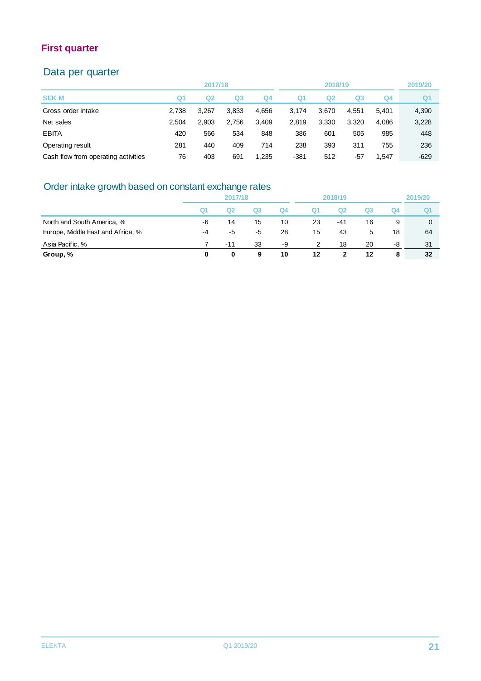#### Data per quarter

|                                     |       | 2017/18 |       |                |        | 2018/19 |       |       | 2019/20        |
|-------------------------------------|-------|---------|-------|----------------|--------|---------|-------|-------|----------------|
| <b>SEK M</b>                        | Q1    | Q2      | Q3    | Q <sub>4</sub> | Q1     | Q2      | Q3    | Q4    | Q <sub>1</sub> |
| Gross order intake                  | 2.738 | 3.267   | 3.833 | 4.656          | 3.174  | 3.670   | 4.551 | 5.401 | 4,390          |
| Net sales                           | 2.504 | 2.903   | 2.756 | 3.409          | 2.819  | 3.330   | 3,320 | 4.086 | 3,228          |
| <b>EBITA</b>                        | 420   | 566     | 534   | 848            | 386    | 601     | 505   | 985   | 448            |
| Operating result                    | 281   | 440     | 409   | 714            | 238    | 393     | 311   | 755   | 236            |
| Cash flow from operating activities | 76    | 403     | 691   | 1,235          | $-381$ | 512     | -57   | 1.547 | $-629$         |

#### Order intake growth based on constant exchange rates

| <u>UNCE IN LOWER DASCU UN CUISIAN CAUTAING TAICS</u> |                |                |    |                |                |          |                |         |     |
|------------------------------------------------------|----------------|----------------|----|----------------|----------------|----------|----------------|---------|-----|
|                                                      | 2017/18        |                |    | 2018/19        |                |          |                | 2019/20 |     |
|                                                      | Q <sub>1</sub> | Q <sub>2</sub> | Q3 | Q <sub>4</sub> | Q <sub>1</sub> | $\Omega$ | Q <sub>3</sub> | Q4      |     |
| North and South America, %                           | -6             | 14             | 15 | 10             | 23             | -41      | 16             | 9       |     |
| Europe, Middle East and Africa, %                    | -4             | -5             | -5 | 28             | 15             | 43       | 5              | 18      | 64  |
| Asia Pacific, %                                      |                | $-11$          | 33 | -9             | 2              | 18       | 20             | -8      | -31 |
| Group, %                                             | 0              | 0              | 9  | 10             | 12             |          | 12             | 8       | 32  |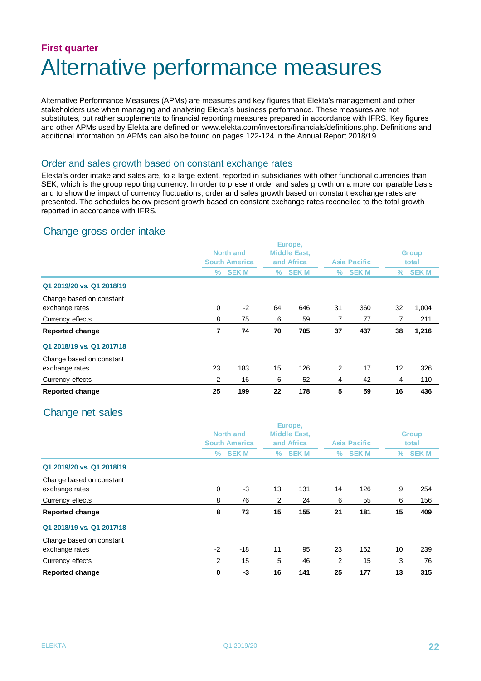### **First quarter** Alternative performance measures

Alternative Performance Measures (APMs) are measures and key figures that Elekta's management and other stakeholders use when managing and analysing Elekta's business performance. These measures are not substitutes, but rather supplements to financial reporting measures prepared in accordance with IFRS. Key figures and other APMs used by Elekta are defined on www.elekta.com/investors/financials/definitions.php. Definitions and additional information on APMs can also be found on pages 122-124 in the Annual Report 2018/19.

#### Order and sales growth based on constant exchange rates

Elekta's order intake and sales are, to a large extent, reported in subsidiaries with other functional currencies than SEK, which is the group reporting currency. In order to present order and sales growth on a more comparable basis and to show the impact of currency fluctuations, order and sales growth based on constant exchange rates are presented. The schedules below present growth based on constant exchange rates reconciled to the total growth reported in accordance with IFRS.

#### Change gross order intake

|                                            |    | Europe,<br><b>Middle East,</b>           |    |             |                |              |    |                       |  |
|--------------------------------------------|----|------------------------------------------|----|-------------|----------------|--------------|----|-----------------------|--|
|                                            |    | <b>North and</b><br><b>South America</b> |    | and Africa  |                | Asia Pacific |    | <b>Group</b><br>total |  |
|                                            | ℅  | <b>SEKM</b>                              | %  | <b>SEKM</b> | %              | <b>SEK M</b> | ℅  | <b>SEKM</b>           |  |
| Q1 2019/20 vs. Q1 2018/19                  |    |                                          |    |             |                |              |    |                       |  |
| Change based on constant<br>exchange rates | 0  | $-2$                                     | 64 | 646         | 31             | 360          | 32 | 1,004                 |  |
| Currency effects                           | 8  | 75                                       | 6  | 59          | 7              | 77           | 7  | 211                   |  |
| <b>Reported change</b>                     | 7  | 74                                       | 70 | 705         | 37             | 437          | 38 | 1,216                 |  |
| Q1 2018/19 vs. Q1 2017/18                  |    |                                          |    |             |                |              |    |                       |  |
| Change based on constant<br>exchange rates | 23 | 183                                      | 15 | 126         | $\overline{2}$ | 17           | 12 | 326                   |  |
| Currency effects                           | 2  | 16                                       | 6  | 52          | 4              | 42           | 4  | 110                   |  |
| <b>Reported change</b>                     | 25 | 199                                      | 22 | 178         | 5              | 59           | 16 | 436                   |  |

#### Change net sales

|                           |      | Europe,                                  |                |                                   |                |              |       |              |  |
|---------------------------|------|------------------------------------------|----------------|-----------------------------------|----------------|--------------|-------|--------------|--|
|                           |      | <b>North and</b><br><b>South America</b> |                | <b>Middle East,</b><br>and Africa |                |              |       | <b>Group</b> |  |
|                           |      |                                          |                |                                   |                | Asia Pacific | total |              |  |
|                           | ℅    | <b>SEK M</b>                             | ℅              | <b>SEK M</b>                      | %              | <b>SEKM</b>  | ℅     | <b>SEKM</b>  |  |
| Q1 2019/20 vs. Q1 2018/19 |      |                                          |                |                                   |                |              |       |              |  |
| Change based on constant  |      |                                          |                |                                   |                |              |       |              |  |
| exchange rates            | 0    | -3                                       | 13             | 131                               | 14             | 126          | 9     | 254          |  |
| Currency effects          | 8    | 76                                       | $\overline{2}$ | 24                                | 6              | 55           | 6     | 156          |  |
| <b>Reported change</b>    | 8    | 73                                       | 15             | 155                               | 21             | 181          | 15    | 409          |  |
| Q1 2018/19 vs. Q1 2017/18 |      |                                          |                |                                   |                |              |       |              |  |
| Change based on constant  |      |                                          |                |                                   |                |              |       |              |  |
| exchange rates            | $-2$ | $-18$                                    | 11             | 95                                | 23             | 162          | 10    | 239          |  |
| Currency effects          | 2    | 15                                       | 5              | 46                                | $\overline{2}$ | 15           | 3     | 76           |  |
| <b>Reported change</b>    | 0    | -3                                       | 16             | 141                               | 25             | 177          | 13    | 315          |  |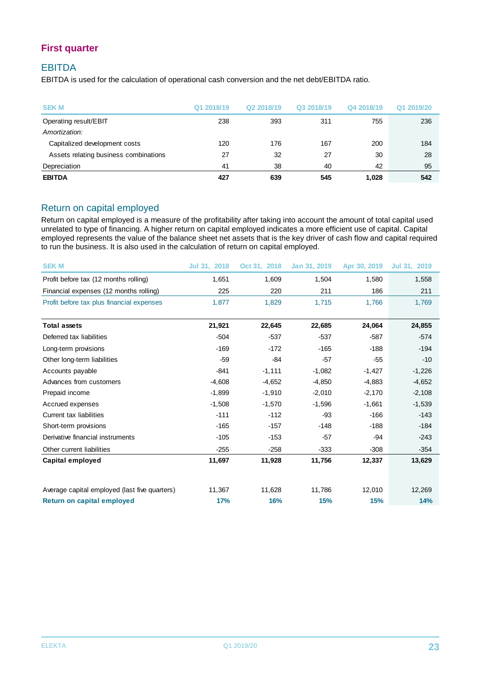#### EBITDA

EBITDA is used for the calculation of operational cash conversion and the net debt/EBITDA ratio.

| <b>SEKM</b>                           | Q1 2018/19 | Q2 2018/19 | Q3 2018/19 | Q4 2018/19 | Q1 2019/20 |
|---------------------------------------|------------|------------|------------|------------|------------|
| Operating result/EBIT                 | 238        | 393        | 311        | 755        | 236        |
| Amortization:                         |            |            |            |            |            |
| Capitalized development costs         | 120        | 176        | 167        | 200        | 184        |
| Assets relating business combinations | 27         | 32         | 27         | 30         | 28         |
| Depreciation                          | 41         | 38         | 40         | 42         | 95         |
| <b>EBITDA</b>                         | 427        | 639        | 545        | 1,028      | 542        |

#### Return on capital employed

Return on capital employed is a measure of the profitability after taking into account the amount of total capital used unrelated to type of financing. A higher return on capital employed indicates a more efficient use of capital. Capital employed represents the value of the balance sheet net assets that is the key driver of cash flow and capital required to run the business. It is also used in the calculation of return on capital employed.

| <b>SEK M</b>                                  | Jul 31, 2018 | Oct 31, 2018 | Jan 31, 2019 | Apr 30, 2019 | Jul 31, 2019 |
|-----------------------------------------------|--------------|--------------|--------------|--------------|--------------|
| Profit before tax (12 months rolling)         | 1,651        | 1,609        | 1,504        | 1,580        | 1,558        |
| Financial expenses (12 months rolling)        | 225          | 220          | 211          | 186          | 211          |
| Profit before tax plus financial expenses     | 1,877        | 1,829        | 1,715        | 1,766        | 1,769        |
| <b>Total assets</b>                           | 21,921       | 22,645       | 22,685       | 24,064       | 24,855       |
| Deferred tax liabilities                      | $-504$       | $-537$       | $-537$       | $-587$       | $-574$       |
| Long-term provisions                          | $-169$       | $-172$       | $-165$       | $-188$       | $-194$       |
| Other long-term liabilities                   | $-59$        | $-84$        | $-57$        | $-55$        | $-10$        |
| Accounts payable                              | $-841$       | $-1,111$     | $-1,082$     | $-1,427$     | $-1,226$     |
| Advances from customers                       | $-4,608$     | $-4,652$     | $-4,850$     | $-4,883$     | $-4,652$     |
| Prepaid income                                | $-1,899$     | $-1,910$     | $-2,010$     | $-2,170$     | $-2,108$     |
| Accrued expenses                              | $-1,508$     | $-1,570$     | $-1,596$     | $-1,661$     | $-1,539$     |
| Current tax liabilities                       | $-111$       | $-112$       | $-93$        | $-166$       | $-143$       |
| Short-term provisions                         | $-165$       | $-157$       | $-148$       | $-188$       | $-184$       |
| Derivative financial instruments              | $-105$       | $-153$       | $-57$        | $-94$        | $-243$       |
| Other current liabilities                     | $-255$       | $-258$       | $-333$       | $-308$       | $-354$       |
| Capital employed                              | 11,697       | 11,928       | 11,756       | 12,337       | 13,629       |
| Average capital employed (last five quarters) | 11,367       | 11,628       | 11,786       | 12,010       | 12,269       |
| <b>Return on capital employed</b>             | 17%          | 16%          | 15%          | 15%          | 14%          |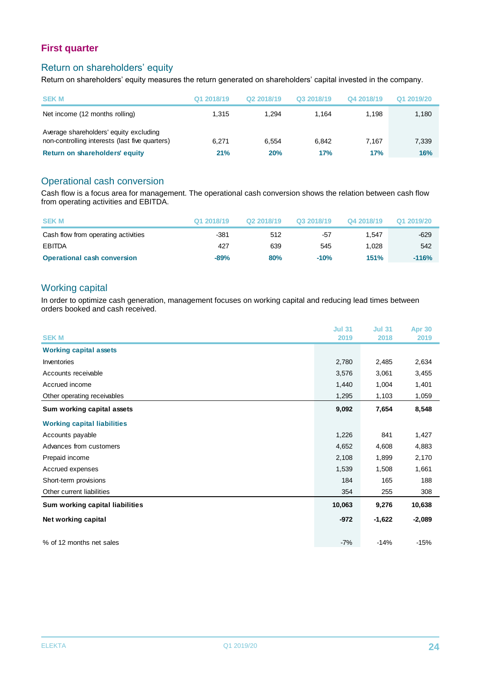#### Return on shareholders' equity

Return on shareholders' equity measures the return generated on shareholders' capital invested in the company.

| <b>SEK M</b>                                                                             | Q1 2018/19 | Q <sub>2</sub> 2018/19 | Q3 2018/19 | Q4 2018/19 | Q1 2019/20 |
|------------------------------------------------------------------------------------------|------------|------------------------|------------|------------|------------|
| Net income (12 months rolling)                                                           | 1.315      | 1.294                  | 1.164      | 1.198      | 1,180      |
| Average shareholders' equity excluding<br>non-controlling interests (last five quarters) | 6.271      | 6.554                  | 6.842      | 7.167      | 7,339      |
| Return on shareholders' equity                                                           | 21%        | 20%                    | 17%        | 17%        | <b>16%</b> |

#### Operational cash conversion

Cash flow is a focus area for management. The operational cash conversion shows the relation between cash flow from operating activities and EBITDA.

| <b>SEK M</b>                        | Q1 2018/19 | Q2 2018/19 | Q3 2018/19 | Q4 2018/19  | Q1 2019/20 |
|-------------------------------------|------------|------------|------------|-------------|------------|
| Cash flow from operating activities | $-381$     | 512        | -57        | 1.547       | $-629$     |
| EBITDA                              | 427        | 639        | 545        | 1.028       | 542        |
| <b>Operational cash conversion</b>  | $-89%$     | 80%        | $-10%$     | <b>151%</b> | $-116%$    |

#### Working capital

In order to optimize cash generation, management focuses on working capital and reducing lead times between orders booked and cash received.

|                                    | <b>Jul 31</b> | <b>Jul 31</b> | <b>Apr 30</b> |
|------------------------------------|---------------|---------------|---------------|
| <b>SEK M</b>                       | 2019          | 2018          | 2019          |
| <b>Working capital assets</b>      |               |               |               |
| Inventories                        | 2,780         | 2,485         | 2,634         |
| Accounts receivable                | 3,576         | 3,061         | 3,455         |
| Accrued income                     | 1,440         | 1,004         | 1,401         |
| Other operating receivables        | 1,295         | 1,103         | 1,059         |
| Sum working capital assets         | 9,092         | 7,654         | 8,548         |
| <b>Working capital liabilities</b> |               |               |               |
| Accounts payable                   | 1,226         | 841           | 1,427         |
| Advances from customers            | 4,652         | 4,608         | 4,883         |
| Prepaid income                     | 2,108         | 1,899         | 2,170         |
| Accrued expenses                   | 1,539         | 1,508         | 1,661         |
| Short-term provisions              | 184           | 165           | 188           |
| Other current liabilities          | 354           | 255           | 308           |
| Sum working capital liabilities    | 10,063        | 9,276         | 10,638        |
| Net working capital                | $-972$        | $-1,622$      | $-2,089$      |
| % of 12 months net sales           | $-7%$         | $-14%$        | $-15%$        |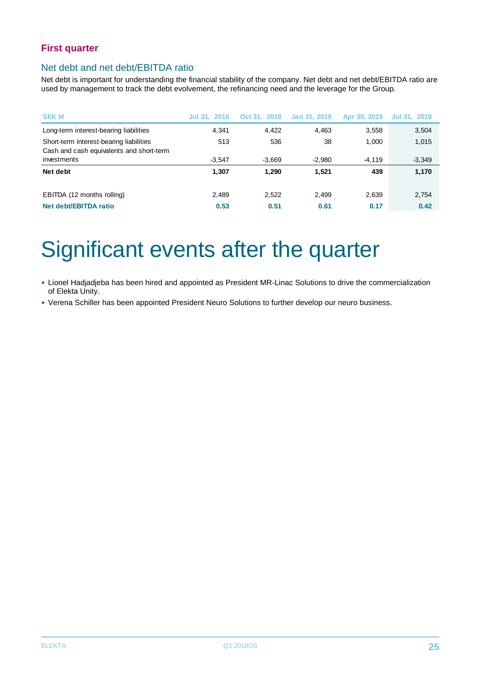#### Net debt and net debt/EBITDA ratio

Net debt is important for understanding the financial stability of the company. Net debt and net debt/EBITDA ratio are used by management to track the debt evolvement, the refinancing need and the leverage for the Group.

| <b>SEKM</b>                                                                         | Jul 31, 2018 | Oct 31, 2018 | Jan 31, 2019 | Apr 30, 2019 | Jul 31, 2019 |
|-------------------------------------------------------------------------------------|--------------|--------------|--------------|--------------|--------------|
| Long-term interest-bearing liabilities                                              | 4.341        | 4.422        | 4,463        | 3,558        | 3,504        |
| Short-term interest-bearing liabilities<br>Cash and cash equivalents and short-term | 513          | 536          | 38           | 1.000        | 1,015        |
| investments                                                                         | $-3.547$     | $-3,669$     | $-2,980$     | $-4.119$     | $-3,349$     |
| Net debt                                                                            | 1.307        | 1.290        | 1.521        | 439          | 1,170        |
| EBITDA (12 months rolling)                                                          | 2,489        | 2,522        | 2,499        | 2,639        | 2,754        |
| Net debt/EBITDA ratio                                                               | 0.53         | 0.51         | 0.61         | 0.17         | 0.42         |

# Significant events after the quarter

- Lionel Hadjadjeba has been hired and appointed as President MR-Linac Solutions to drive the commercialization of Elekta Unity.
- Verena Schiller has been appointed President Neuro Solutions to further develop our neuro business.